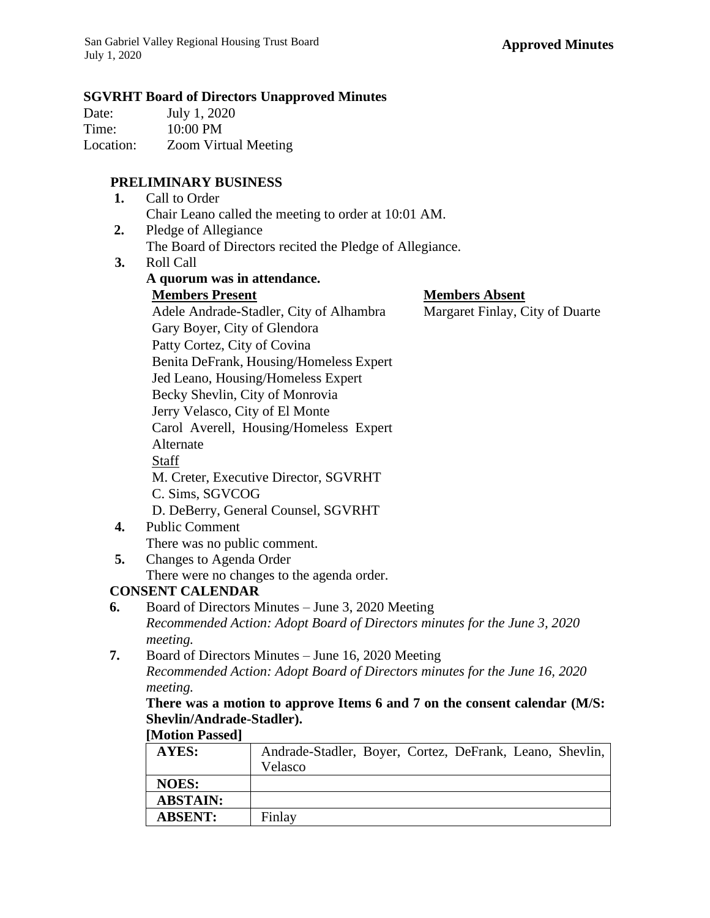### **SGVRHT Board of Directors Unapproved Minutes**

| Date:     | July 1, 2020                |
|-----------|-----------------------------|
| Time:     | 10:00 PM                    |
| Location: | <b>Zoom Virtual Meeting</b> |

## **PRELIMINARY BUSINESS**

| 1. Call to Order                                     |
|------------------------------------------------------|
| Chair Leano called the meeting to order at 10:01 AM. |

- **2.** Pledge of Allegiance The Board of Directors recited the Pledge of Allegiance.
- **3.** Roll Call

|    | A quorum was in attendance.                |                                 |
|----|--------------------------------------------|---------------------------------|
|    | <b>Members Present</b>                     | <b>Members Absent</b>           |
|    | Adele Andrade-Stadler, City of Alhambra    | Margaret Finlay, City of Duarte |
|    | Gary Boyer, City of Glendora               |                                 |
|    | Patty Cortez, City of Covina               |                                 |
|    | Benita DeFrank, Housing/Homeless Expert    |                                 |
|    | Jed Leano, Housing/Homeless Expert         |                                 |
|    | Becky Shevlin, City of Monrovia            |                                 |
|    | Jerry Velasco, City of El Monte            |                                 |
|    | Carol Averell, Housing/Homeless Expert     |                                 |
|    | Alternate                                  |                                 |
|    | Staff                                      |                                 |
|    | M. Creter, Executive Director, SGVRHT      |                                 |
|    | C. Sims, SGVCOG                            |                                 |
|    | D. DeBerry, General Counsel, SGVRHT        |                                 |
| 4. | <b>Public Comment</b>                      |                                 |
|    | There was no public comment.               |                                 |
| 5. | Changes to Agenda Order                    |                                 |
|    | There were no changes to the agenda order. |                                 |

# **CONSENT CALENDAR**

- **6.** Board of Directors Minutes June 3, 2020 Meeting *Recommended Action: Adopt Board of Directors minutes for the June 3, 2020 meeting.*
- **7.** Board of Directors Minutes June 16, 2020 Meeting *Recommended Action: Adopt Board of Directors minutes for the June 16, 2020 meeting.*

**There was a motion to approve Items 6 and 7 on the consent calendar (M/S: Shevlin/Andrade-Stadler). [Motion Passed]**

| $ N1011011 1$ asseu |                                                          |
|---------------------|----------------------------------------------------------|
| AYES:               | Andrade-Stadler, Boyer, Cortez, DeFrank, Leano, Shevlin, |
|                     | Velasco                                                  |
| <b>NOES:</b>        |                                                          |
| <b>ABSTAIN:</b>     |                                                          |
| <b>ABSENT:</b>      | Finlay                                                   |
|                     |                                                          |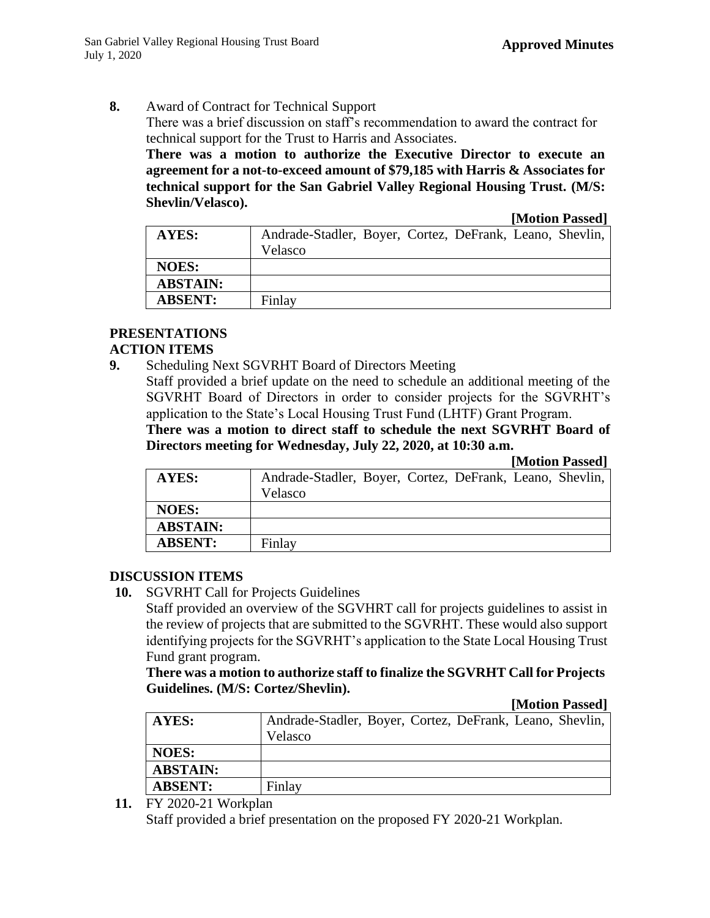**8.** Award of Contract for Technical Support

There was a brief discussion on staff's recommendation to award the contract for technical support for the Trust to Harris and Associates.

**There was a motion to authorize the Executive Director to execute an agreement for a not-to-exceed amount of \$79,185 with Harris & Associates for technical support for the San Gabriel Valley Regional Housing Trust. (M/S: Shevlin/Velasco).**

**[Motion Passed]**

|                 | $\sim$                                                   |
|-----------------|----------------------------------------------------------|
| <b>AYES:</b>    | Andrade-Stadler, Boyer, Cortez, DeFrank, Leano, Shevlin, |
|                 | Velasco                                                  |
| <b>NOES:</b>    |                                                          |
| <b>ABSTAIN:</b> |                                                          |
| <b>ABSENT:</b>  | Finlay                                                   |

# **PRESENTATIONS**

### **ACTION ITEMS**

**9.** Scheduling Next SGVRHT Board of Directors Meeting

Staff provided a brief update on the need to schedule an additional meeting of the SGVRHT Board of Directors in order to consider projects for the SGVRHT's application to the State's Local Housing Trust Fund (LHTF) Grant Program.

**There was a motion to direct staff to schedule the next SGVRHT Board of Directors meeting for Wednesday, July 22, 2020, at 10:30 a.m.** 

**[Motion Passed]**

| AYES:           | Andrade-Stadler, Boyer, Cortez, DeFrank, Leano, Shevlin,<br>Velasco |
|-----------------|---------------------------------------------------------------------|
| <b>NOES:</b>    |                                                                     |
| <b>ABSTAIN:</b> |                                                                     |
| <b>ABSENT:</b>  | Finlay                                                              |

### **DISCUSSION ITEMS**

**10.** SGVRHT Call for Projects Guidelines

Staff provided an overview of the SGVHRT call for projects guidelines to assist in the review of projects that are submitted to the SGVRHT. These would also support identifying projects for the SGVRHT's application to the State Local Housing Trust Fund grant program.

**There was a motion to authorize staff to finalize the SGVRHT Call for Projects Guidelines. (M/S: Cortez/Shevlin).**

### **[Motion Passed]**

| AYES:           | Andrade-Stadler, Boyer, Cortez, DeFrank, Leano, Shevlin, |
|-----------------|----------------------------------------------------------|
|                 | <b>Velasco</b>                                           |
| <b>NOES:</b>    |                                                          |
| <b>ABSTAIN:</b> |                                                          |
| <b>ABSENT:</b>  | Finlay                                                   |

**11.** FY 2020-21 Workplan

Staff provided a brief presentation on the proposed FY 2020-21 Workplan.